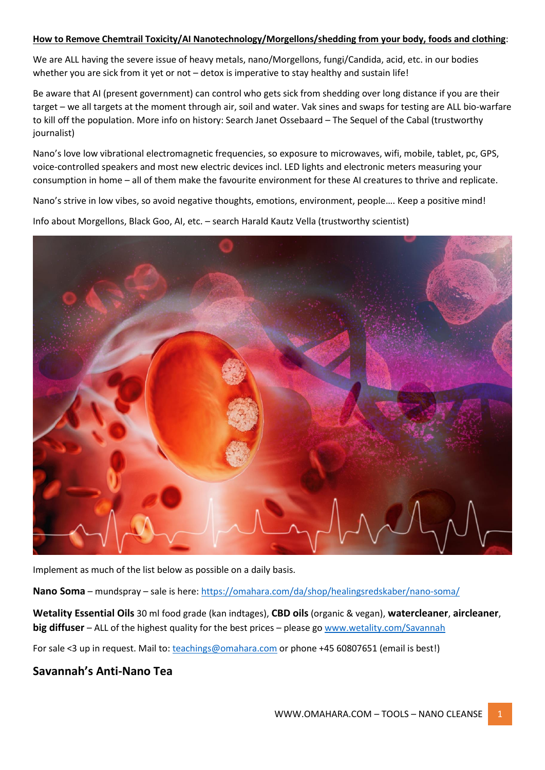#### **How to Remove Chemtrail Toxicity/AI Nanotechnology/Morgellons/shedding from your body, foods and clothing**:

We are ALL having the severe issue of heavy metals, nano/Morgellons, fungi/Candida, acid, etc. in our bodies whether you are sick from it yet or not – detox is imperative to stay healthy and sustain life!

Be aware that AI (present government) can control who gets sick from shedding over long distance if you are their target – we all targets at the moment through air, soil and water. Vak sines and swaps for testing are ALL bio-warfare to kill off the population. More info on history: Search Janet Ossebaard – The Sequel of the Cabal (trustworthy journalist)

Nano's love low vibrational electromagnetic frequencies, so exposure to microwaves, wifi, mobile, tablet, pc, GPS, voice-controlled speakers and most new electric devices incl. LED lights and electronic meters measuring your consumption in home – all of them make the favourite environment for these AI creatures to thrive and replicate.

Nano's strive in low vibes, so avoid negative thoughts, emotions, environment, people…. Keep a positive mind! Info about Morgellons, Black Goo, AI, etc. – search Harald Kautz Vella (trustworthy scientist)



Implement as much of the list below as possible on a daily basis.

Nano Soma – mundspray – sale is here: <https://omahara.com/da/shop/healingsredskaber/nano-soma/>

**Wetality Essential Oils** 30 ml food grade (kan indtages), **CBD oils** (organic & vegan), **watercleaner**, **aircleaner**, **big diffuser** – ALL of the highest quality for the best prices – please g[o www.wetality.com/Savannah](http://www.wetality.com/Savannah)

For sale <3 up in request. Mail to: [teachings@omahara.com](mailto:teachings@omahara.com) or phone +45 60807651 (email is best!)

### **Savannah's Anti-Nano Tea**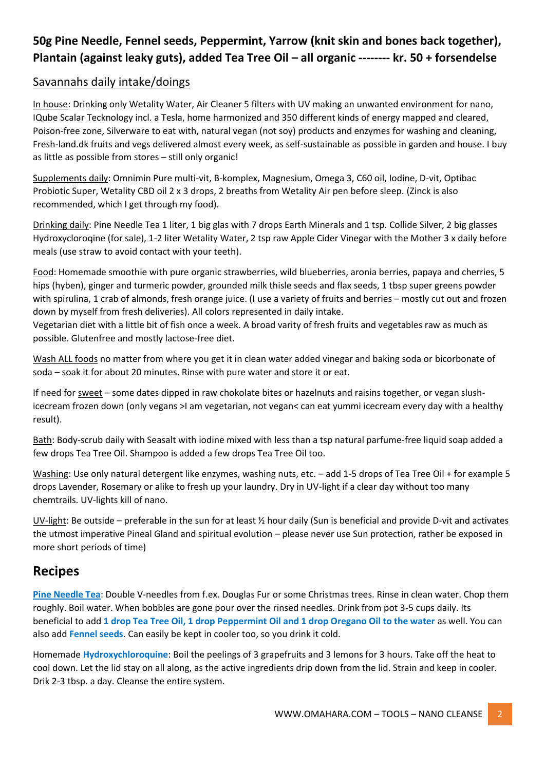# **50g Pine Needle, Fennel seeds, Peppermint, Yarrow (knit skin and bones back together), Plantain (against leaky guts), added Tea Tree Oil – all organic -------- kr. 50 + forsendelse**

#### Savannahs daily intake/doings

In house: Drinking only Wetality Water, Air Cleaner 5 filters with UV making an unwanted environment for nano, IQube Scalar Tecknology incl. a Tesla, home harmonized and 350 different kinds of energy mapped and cleared, Poison-free zone, Silverware to eat with, natural vegan (not soy) products and enzymes for washing and cleaning, Fresh-land.dk fruits and vegs delivered almost every week, as self-sustainable as possible in garden and house. I buy as little as possible from stores – still only organic!

Supplements daily: Omnimin Pure multi-vit, B-komplex, Magnesium, Omega 3, C60 oil, Iodine, D-vit, Optibac Probiotic Super, Wetality CBD oil 2 x 3 drops, 2 breaths from Wetality Air pen before sleep. (Zinck is also recommended, which I get through my food).

Drinking daily: Pine Needle Tea 1 liter, 1 big glas with 7 drops Earth Minerals and 1 tsp. Collide Silver, 2 big glasses Hydroxycloroqine (for sale), 1-2 liter Wetality Water, 2 tsp raw Apple Cider Vinegar with the Mother 3 x daily before meals (use straw to avoid contact with your teeth).

Food: Homemade smoothie with pure organic strawberries, wild blueberries, aronia berries, papaya and cherries, 5 hips (hyben), ginger and turmeric powder, grounded milk thisle seeds and flax seeds, 1 tbsp super greens powder with spirulina, 1 crab of almonds, fresh orange juice. (I use a variety of fruits and berries – mostly cut out and frozen down by myself from fresh deliveries). All colors represented in daily intake.

Vegetarian diet with a little bit of fish once a week. A broad varity of fresh fruits and vegetables raw as much as possible. Glutenfree and mostly lactose-free diet.

Wash ALL foods no matter from where you get it in clean water added vinegar and baking soda or bicorbonate of soda – soak it for about 20 minutes. Rinse with pure water and store it or eat.

If need for sweet - some dates dipped in raw chokolate bites or hazelnuts and raisins together, or vegan slushicecream frozen down (only vegans >I am vegetarian, not vegan< can eat yummi icecream every day with a healthy result).

Bath: Body-scrub daily with Seasalt with iodine mixed with less than a tsp natural parfume-free liquid soap added a few drops Tea Tree Oil. Shampoo is added a few drops Tea Tree Oil too.

Washing: Use only natural detergent like enzymes, washing nuts, etc. – add 1-5 drops of Tea Tree Oil + for example 5 drops Lavender, Rosemary or alike to fresh up your laundry. Dry in UV-light if a clear day without too many chemtrails. UV-lights kill of nano.

UV-light: Be outside – preferable in the sun for at least  $\frac{1}{2}$  hour daily (Sun is beneficial and provide D-vit and activates the utmost imperative Pineal Gland and spiritual evolution – please never use Sun protection, rather be exposed in more short periods of time)

## **Recipes**

**Pine Needle Tea**: Double V-needles from f.ex. Douglas Fur or some Christmas trees. Rinse in clean water. Chop them roughly. Boil water. When bobbles are gone pour over the rinsed needles. Drink from pot 3-5 cups daily. Its beneficial to add **1 drop Tea Tree Oil, 1 drop Peppermint Oil and 1 drop Oregano Oil to the water** as well. You can also add **Fennel seeds**. Can easily be kept in cooler too, so you drink it cold.

Homemade **Hydroxychloroquine**: Boil the peelings of 3 grapefruits and 3 lemons for 3 hours. Take off the heat to cool down. Let the lid stay on all along, as the active ingredients drip down from the lid. Strain and keep in cooler. Drik 2-3 tbsp. a day. Cleanse the entire system.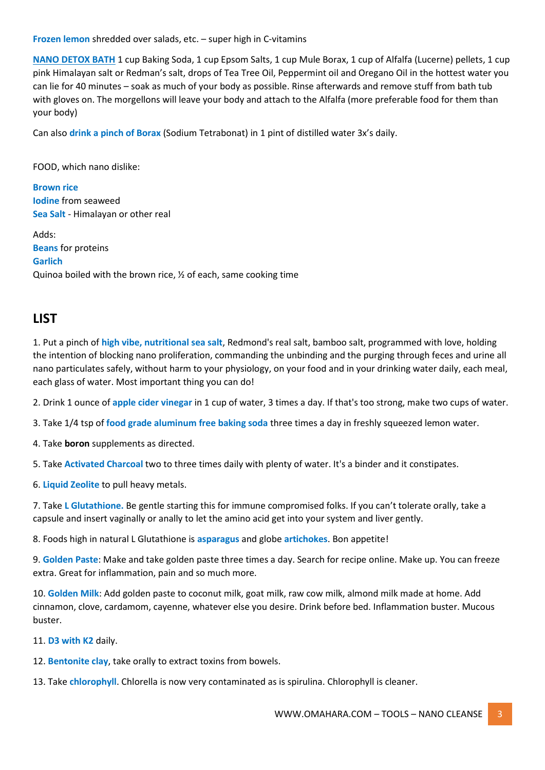**Frozen lemon** shredded over salads, etc. – super high in C-vitamins

**NANO DETOX BATH** 1 cup Baking Soda, 1 cup Epsom Salts, 1 cup Mule Borax, 1 cup of Alfalfa (Lucerne) pellets, 1 cup pink Himalayan salt or Redman's salt, drops of Tea Tree Oil, Peppermint oil and Oregano Oil in the hottest water you can lie for 40 minutes – soak as much of your body as possible. Rinse afterwards and remove stuff from bath tub with gloves on. The morgellons will leave your body and attach to the Alfalfa (more preferable food for them than your body)

Can also **drink a pinch of Borax** (Sodium Tetrabonat) in 1 pint of distilled water 3x's daily.

FOOD, which nano dislike:

**Brown rice Iodine** from seaweed **Sea Salt** - Himalayan or other real

Adds: **Beans** for proteins **Garlich** Quinoa boiled with the brown rice, ½ of each, same cooking time

### **LIST**

1. Put a pinch of **high vibe, nutritional sea salt**, Redmond's real salt, bamboo salt, programmed with love, holding the intention of blocking nano proliferation, commanding the unbinding and the purging through feces and urine all nano particulates safely, without harm to your physiology, on your food and in your drinking water daily, each meal, each glass of water. Most important thing you can do!

2. Drink 1 ounce of **apple cider vinegar** in 1 cup of water, 3 times a day. If that's too strong, make two cups of water.

3. Take 1/4 tsp of **food grade aluminum free baking soda** three times a day in freshly squeezed lemon water.

4. Take **boron** supplements as directed.

5. Take **Activated Charcoal** two to three times daily with plenty of water. It's a binder and it constipates.

6. **Liquid Zeolite** to pull heavy metals.

7. Take **L Glutathione.** Be gentle starting this for immune compromised folks. If you can't tolerate orally, take a capsule and insert vaginally or anally to let the amino acid get into your system and liver gently.

8. Foods high in natural L Glutathione is **asparagus** and globe **artichokes**. Bon appetite!

9. **Golden Paste**: Make and take golden paste three times a day. Search for recipe online. Make up. You can freeze extra. Great for inflammation, pain and so much more.

10. **Golden Milk**: Add golden paste to coconut milk, goat milk, raw cow milk, almond milk made at home. Add cinnamon, clove, cardamom, cayenne, whatever else you desire. Drink before bed. Inflammation buster. Mucous buster.

11. **D3 with K2** daily.

12. **Bentonite clay**, take orally to extract toxins from bowels.

13. Take **chlorophyll**. Chlorella is now very contaminated as is spirulina. Chlorophyll is cleaner.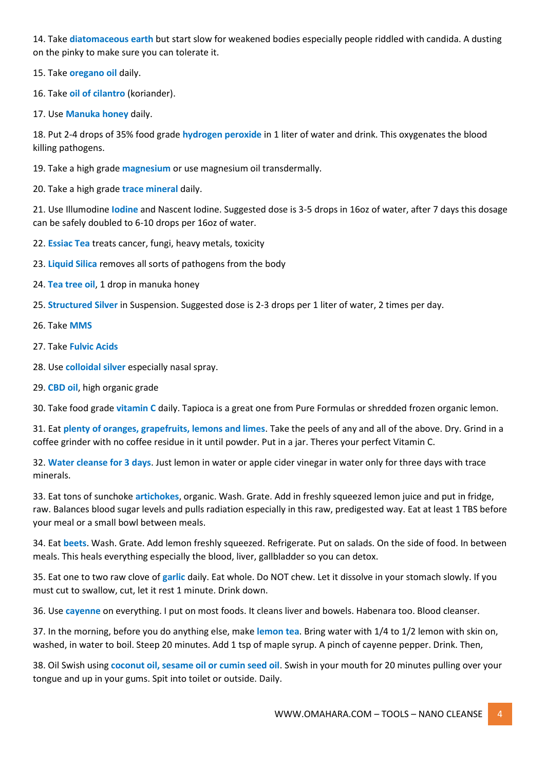14. Take **diatomaceous earth** but start slow for weakened bodies especially people riddled with candida. A dusting on the pinky to make sure you can tolerate it.

15. Take **oregano oil** daily.

16. Take **oil of cilantro** (koriander).

17. Use **Manuka honey** daily.

18. Put 2-4 drops of 35% food grade **hydrogen peroxide** in 1 liter of water and drink. This oxygenates the blood killing pathogens.

19. Take a high grade **magnesium** or use magnesium oil transdermally.

20. Take a high grade **trace mineral** daily.

21. Use Illumodine **Iodine** and Nascent Iodine. Suggested dose is 3-5 drops in 16oz of water, after 7 days this dosage can be safely doubled to 6-10 drops per 16oz of water.

22. **Essiac Tea** treats cancer, fungi, heavy metals, toxicity

23. **Liquid Silica** removes all sorts of pathogens from the body

24. **Tea tree oil**, 1 drop in manuka honey

25. **Structured Silver** in Suspension. Suggested dose is 2-3 drops per 1 liter of water, 2 times per day.

26. Take **MMS**

27. Take **Fulvic Acids**

28. Use **colloidal silver** especially nasal spray.

29. **CBD oil**, high organic grade

30. Take food grade **vitamin C** daily. Tapioca is a great one from Pure Formulas or shredded frozen organic lemon.

31. Eat **plenty of oranges, grapefruits, lemons and limes**. Take the peels of any and all of the above. Dry. Grind in a coffee grinder with no coffee residue in it until powder. Put in a jar. Theres your perfect Vitamin C.

32. **Water cleanse for 3 days**. Just lemon in water or apple cider vinegar in water only for three days with trace minerals.

33. Eat tons of sunchoke **artichokes**, organic. Wash. Grate. Add in freshly squeezed lemon juice and put in fridge, raw. Balances blood sugar levels and pulls radiation especially in this raw, predigested way. Eat at least 1 TBS before your meal or a small bowl between meals.

34. Eat **beets**. Wash. Grate. Add lemon freshly squeezed. Refrigerate. Put on salads. On the side of food. In between meals. This heals everything especially the blood, liver, gallbladder so you can detox.

35. Eat one to two raw clove of **garlic** daily. Eat whole. Do NOT chew. Let it dissolve in your stomach slowly. If you must cut to swallow, cut, let it rest 1 minute. Drink down.

36. Use **cayenne** on everything. I put on most foods. It cleans liver and bowels. Habenara too. Blood cleanser.

37. In the morning, before you do anything else, make **lemon tea**. Bring water with 1/4 to 1/2 lemon with skin on, washed, in water to boil. Steep 20 minutes. Add 1 tsp of maple syrup. A pinch of cayenne pepper. Drink. Then,

38. Oil Swish using **coconut oil, sesame oil or cumin seed oil**. Swish in your mouth for 20 minutes pulling over your tongue and up in your gums. Spit into toilet or outside. Daily.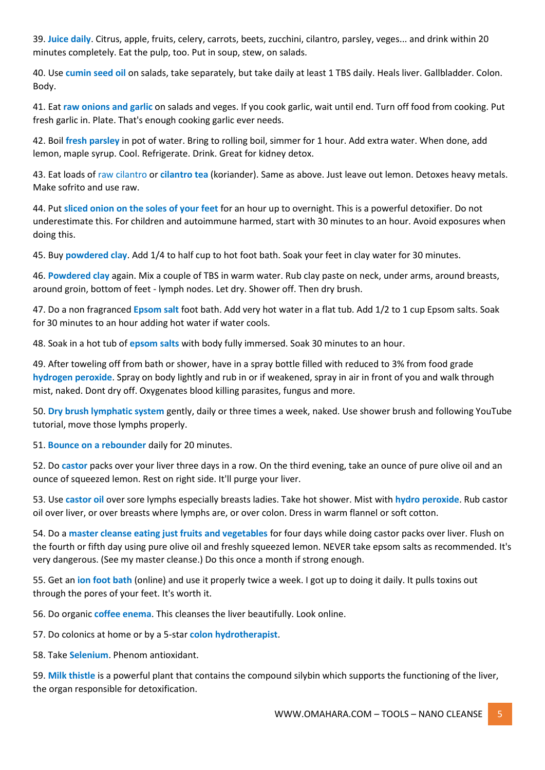39. **Juice daily**. Citrus, apple, fruits, celery, carrots, beets, zucchini, cilantro, parsley, veges... and drink within 20 minutes completely. Eat the pulp, too. Put in soup, stew, on salads.

40. Use **cumin seed oil** on salads, take separately, but take daily at least 1 TBS daily. Heals liver. Gallbladder. Colon. Body.

41. Eat **raw onions and garlic** on salads and veges. If you cook garlic, wait until end. Turn off food from cooking. Put fresh garlic in. Plate. That's enough cooking garlic ever needs.

42. Boil **fresh parsley** in pot of water. Bring to rolling boil, simmer for 1 hour. Add extra water. When done, add lemon, maple syrup. Cool. Refrigerate. Drink. Great for kidney detox.

43. Eat loads of raw cilantro or **cilantro tea** (koriander). Same as above. Just leave out lemon. Detoxes heavy metals. Make sofrito and use raw.

44. Put **sliced onion on the soles of your feet** for an hour up to overnight. This is a powerful detoxifier. Do not underestimate this. For children and autoimmune harmed, start with 30 minutes to an hour. Avoid exposures when doing this.

45. Buy **powdered clay**. Add 1/4 to half cup to hot foot bath. Soak your feet in clay water for 30 minutes.

46. **Powdered clay** again. Mix a couple of TBS in warm water. Rub clay paste on neck, under arms, around breasts, around groin, bottom of feet - lymph nodes. Let dry. Shower off. Then dry brush.

47. Do a non fragranced **Epsom salt** foot bath. Add very hot water in a flat tub. Add 1/2 to 1 cup Epsom salts. Soak for 30 minutes to an hour adding hot water if water cools.

48. Soak in a hot tub of **epsom salts** with body fully immersed. Soak 30 minutes to an hour.

49. After toweling off from bath or shower, have in a spray bottle filled with reduced to 3% from food grade **hydrogen peroxide**. Spray on body lightly and rub in or if weakened, spray in air in front of you and walk through mist, naked. Dont dry off. Oxygenates blood killing parasites, fungus and more.

50. **Dry brush lymphatic system** gently, daily or three times a week, naked. Use shower brush and following YouTube tutorial, move those lymphs properly.

51. **Bounce on a rebounder** daily for 20 minutes.

52. Do **castor** packs over your liver three days in a row. On the third evening, take an ounce of pure olive oil and an ounce of squeezed lemon. Rest on right side. It'll purge your liver.

53. Use **castor oil** over sore lymphs especially breasts ladies. Take hot shower. Mist with **hydro peroxide**. Rub castor oil over liver, or over breasts where lymphs are, or over colon. Dress in warm flannel or soft cotton.

54. Do a **master cleanse eating just fruits and vegetables** for four days while doing castor packs over liver. Flush on the fourth or fifth day using pure olive oil and freshly squeezed lemon. NEVER take epsom salts as recommended. It's very dangerous. (See my master cleanse.) Do this once a month if strong enough.

55. Get an **ion foot bath** (online) and use it properly twice a week. I got up to doing it daily. It pulls toxins out through the pores of your feet. It's worth it.

56. Do organic **coffee enema**. This cleanses the liver beautifully. Look online.

57. Do colonics at home or by a 5-star **colon hydrotherapist**.

58. Take **Selenium**. Phenom antioxidant.

59. **Milk thistle** is a powerful plant that contains the compound silybin which supports the functioning of the liver, the organ responsible for detoxification.